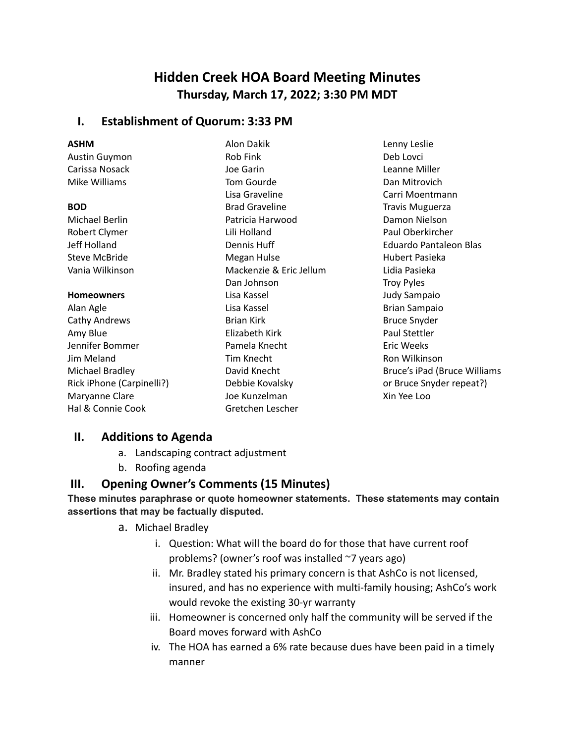# **Hidden Creek HOA Board Meeting Minutes Thursday, March 17, 2022; 3:30 PM MDT**

### **I. Establishment of Quorum: 3:33 PM**

## **ASHM**

Austin Guymon Carissa Nosack Mike Williams

#### **BOD**

Michael Berlin Robert Clymer Jeff Holland Steve McBride Vania Wilkinson

#### **Homeowners**

Alan Agle Cathy Andrews Amy Blue Jennifer Bommer Jim Meland Michael Bradley Rick iPhone (Carpinelli?) Maryanne Clare Hal & Connie Cook

Alon Dakik Rob Fink Joe Garin Tom Gourde Lisa Graveline Brad Graveline Patricia Harwood Lili Holland Dennis Huff Megan Hulse Mackenzie & Eric Jellum Dan Johnson Lisa Kassel Lisa Kassel Brian Kirk Elizabeth Kirk Pamela Knecht Tim Knecht David Knecht Debbie Kovalsky Joe Kunzelman Gretchen Lescher

Lenny Leslie Deb Lovci Leanne Miller Dan Mitrovich Carri Moentmann Travis Muguerza Damon Nielson Paul Oberkircher Eduardo Pantaleon Blas Hubert Pasieka Lidia Pasieka Troy Pyles Judy Sampaio Brian Sampaio Bruce Snyder Paul Stettler Eric Weeks Ron Wilkinson Bruce's iPad (Bruce Williams or Bruce Snyder repeat?) Xin Yee Loo

## **II. Additions to Agenda**

- a. Landscaping contract adjustment
- b. Roofing agenda

## **III. Opening Owner's Comments (15 Minutes)**

### **These minutes paraphrase or quote homeowner statements. These statements may contain assertions that may be factually disputed.**

- a. Michael Bradley
	- i. Question: What will the board do for those that have current roof problems? (owner's roof was installed ~7 years ago)
	- ii. Mr. Bradley stated his primary concern is that AshCo is not licensed, insured, and has no experience with multi-family housing; AshCo's work would revoke the existing 30-yr warranty
	- iii. Homeowner is concerned only half the community will be served if the Board moves forward with AshCo
	- iv. The HOA has earned a 6% rate because dues have been paid in a timely manner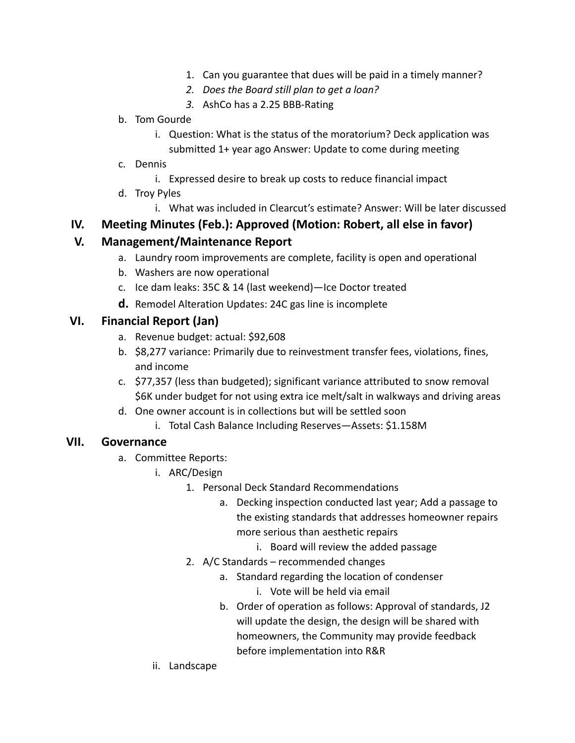- 1. Can you guarantee that dues will be paid in a timely manner?
- *2. Does the Board still plan to get a loan?*
- *3.* AshCo has a 2.25 BBB-Rating

### b. Tom Gourde

- i. Question: What is the status of the moratorium? Deck application was submitted 1+ year ago Answer: Update to come during meeting
- c. Dennis
	- i. Expressed desire to break up costs to reduce financial impact
- d. Troy Pyles
	- i. What was included in Clearcut's estimate? Answer: Will be later discussed

## **IV. Meeting Minutes (Feb.): Approved (Motion: Robert, all else in favor)**

## **V. Management/Maintenance Report**

- a. Laundry room improvements are complete, facility is open and operational
- b. Washers are now operational
- c. Ice dam leaks: 35C & 14 (last weekend)—Ice Doctor treated
- **d.** Remodel Alteration Updates: 24C gas line is incomplete

## **VI. Financial Report (Jan)**

- a. Revenue budget: actual: \$92,608
- b. \$8,277 variance: Primarily due to reinvestment transfer fees, violations, fines, and income
- c. \$77,357 (less than budgeted); significant variance attributed to snow removal \$6K under budget for not using extra ice melt/salt in walkways and driving areas
- d. One owner account is in collections but will be settled soon
	- i. Total Cash Balance Including Reserves—Assets: \$1.158M

## **VII. Governance**

- a. Committee Reports:
	- i. ARC/Design
		- 1. Personal Deck Standard Recommendations
			- a. Decking inspection conducted last year; Add a passage to the existing standards that addresses homeowner repairs more serious than aesthetic repairs
				- i. Board will review the added passage
		- 2. A/C Standards recommended changes
			- a. Standard regarding the location of condenser
				- i. Vote will be held via email
			- b. Order of operation as follows: Approval of standards, J2 will update the design, the design will be shared with homeowners, the Community may provide feedback before implementation into R&R
	- ii. Landscape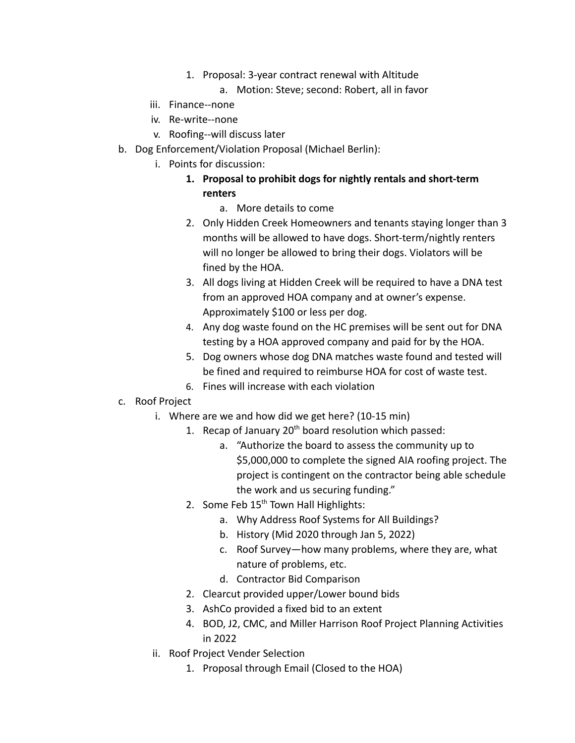- 1. Proposal: 3-year contract renewal with Altitude
	- a. Motion: Steve; second: Robert, all in favor
- iii. Finance--none
- iv. Re-write--none
- v. Roofing--will discuss later
- b. Dog Enforcement/Violation Proposal (Michael Berlin):
	- i. Points for discussion:
		- **1. Proposal to prohibit dogs for nightly rentals and short-term renters**
			- a. More details to come
		- 2. Only Hidden Creek Homeowners and tenants staying longer than 3 months will be allowed to have dogs. Short-term/nightly renters will no longer be allowed to bring their dogs. Violators will be fined by the HOA.
		- 3. All dogs living at Hidden Creek will be required to have a DNA test from an approved HOA company and at owner's expense. Approximately \$100 or less per dog.
		- 4. Any dog waste found on the HC premises will be sent out for DNA testing by a HOA approved company and paid for by the HOA.
		- 5. Dog owners whose dog DNA matches waste found and tested will be fined and required to reimburse HOA for cost of waste test.
		- 6. Fines will increase with each violation
- c. Roof Project
	- i. Where are we and how did we get here? (10-15 min)
		- 1. Recap of January  $20<sup>th</sup>$  board resolution which passed:
			- a. "Authorize the board to assess the community up to \$5,000,000 to complete the signed AIA roofing project. The project is contingent on the contractor being able schedule the work and us securing funding."
		- 2. Some Feb  $15<sup>th</sup>$  Town Hall Highlights:
			- a. Why Address Roof Systems for All Buildings?
			- b. History (Mid 2020 through Jan 5, 2022)
			- c. Roof Survey—how many problems, where they are, what nature of problems, etc.
			- d. Contractor Bid Comparison
		- 2. Clearcut provided upper/Lower bound bids
		- 3. AshCo provided a fixed bid to an extent
		- 4. BOD, J2, CMC, and Miller Harrison Roof Project Planning Activities in 2022
	- ii. Roof Project Vender Selection
		- 1. Proposal through Email (Closed to the HOA)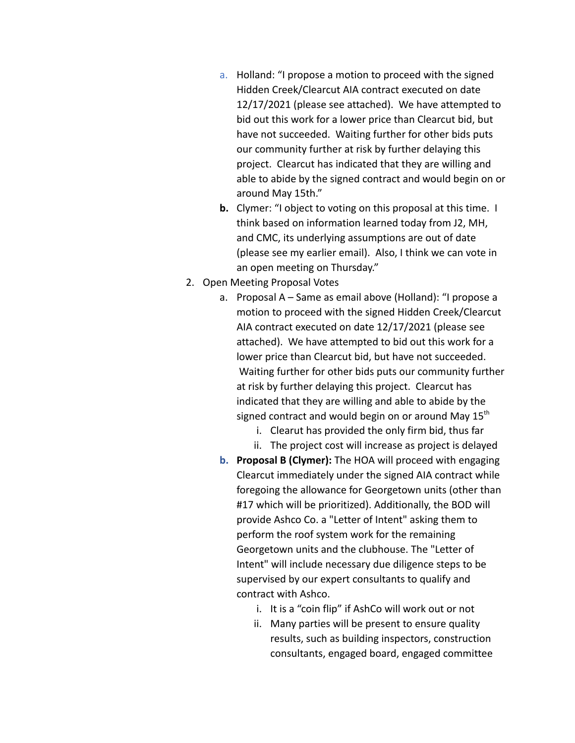- a. Holland: "I propose a motion to proceed with the signed Hidden Creek/Clearcut AIA contract executed on date 12/17/2021 (please see attached). We have attempted to bid out this work for a lower price than Clearcut bid, but have not succeeded. Waiting further for other bids puts our community further at risk by further delaying this project. Clearcut has indicated that they are willing and able to abide by the signed contract and would begin on or around May 15th."
- **b.** Clymer: "I object to voting on this proposal at this time. I think based on information learned today from J2, MH, and CMC, its underlying assumptions are out of date (please see my earlier email). Also, I think we can vote in an open meeting on Thursday."
- 2. Open Meeting Proposal Votes
	- a. Proposal A Same as email above (Holland): "I propose a motion to proceed with the signed Hidden Creek/Clearcut AIA contract executed on date 12/17/2021 (please see attached). We have attempted to bid out this work for a lower price than Clearcut bid, but have not succeeded. Waiting further for other bids puts our community further at risk by further delaying this project. Clearcut has indicated that they are willing and able to abide by the signed contract and would begin on or around May  $15<sup>th</sup>$ 
		- i. Clearut has provided the only firm bid, thus far
		- ii. The project cost will increase as project is delayed
	- **b. Proposal B (Clymer):** The HOA will proceed with engaging Clearcut immediately under the signed AIA contract while foregoing the allowance for Georgetown units (other than #17 which will be prioritized). Additionally, the BOD will provide Ashco Co. a "Letter of Intent" asking them to perform the roof system work for the remaining Georgetown units and the clubhouse. The "Letter of Intent" will include necessary due diligence steps to be supervised by our expert consultants to qualify and contract with Ashco.
		- i. It is a "coin flip" if AshCo will work out or not
		- ii. Many parties will be present to ensure quality results, such as building inspectors, construction consultants, engaged board, engaged committee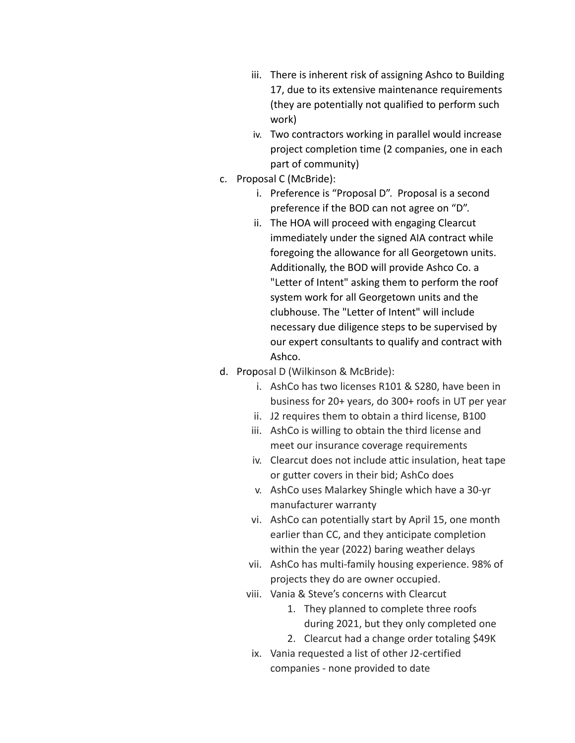- iii. There is inherent risk of assigning Ashco to Building 17, due to its extensive maintenance requirements (they are potentially not qualified to perform such work)
- iv. Two contractors working in parallel would increase project completion time (2 companies, one in each part of community)
- c. Proposal C (McBride):
	- i. Preference is "Proposal D". Proposal is a second preference if the BOD can not agree on "D".
	- ii. The HOA will proceed with engaging Clearcut immediately under the signed AIA contract while foregoing the allowance for all Georgetown units. Additionally, the BOD will provide Ashco Co. a "Letter of Intent" asking them to perform the roof system work for all Georgetown units and the clubhouse. The "Letter of Intent" will include necessary due diligence steps to be supervised by our expert consultants to qualify and contract with Ashco.
- d. Proposal D (Wilkinson & McBride):
	- i. AshCo has two licenses R101 & S280, have been in business for 20+ years, do 300+ roofs in UT per year
	- ii. J2 requires them to obtain a third license, B100
	- iii. AshCo is willing to obtain the third license and meet our insurance coverage requirements
	- iv. Clearcut does not include attic insulation, heat tape or gutter covers in their bid; AshCo does
	- v. AshCo uses Malarkey Shingle which have a 30-yr manufacturer warranty
	- vi. AshCo can potentially start by April 15, one month earlier than CC, and they anticipate completion within the year (2022) baring weather delays
	- vii. AshCo has multi-family housing experience. 98% of projects they do are owner occupied.
	- viii. Vania & Steve's concerns with Clearcut
		- 1. They planned to complete three roofs during 2021, but they only completed one
		- 2. Clearcut had a change order totaling \$49K
		- ix. Vania requested a list of other J2-certified companies - none provided to date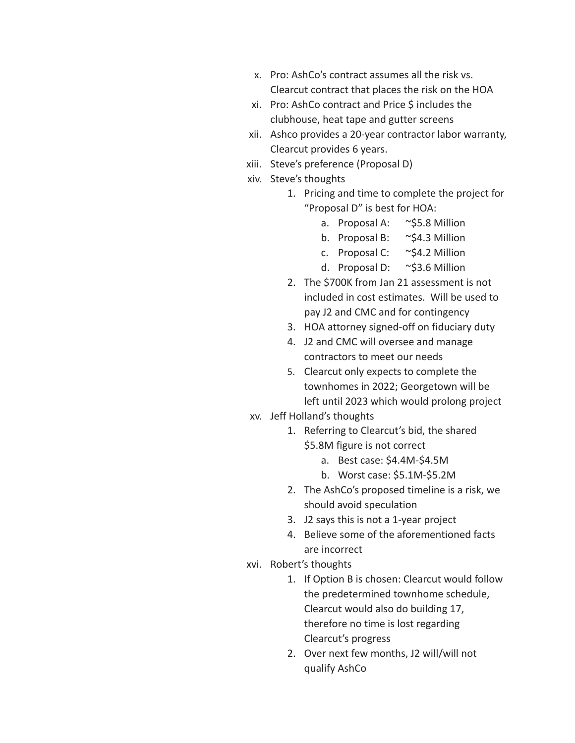- x. Pro: AshCo's contract assumes all the risk vs. Clearcut contract that places the risk on the HOA
- xi. Pro: AshCo contract and Price \$ includes the clubhouse, heat tape and gutter screens
- xii. Ashco provides a 20-year contractor labor warranty, Clearcut provides 6 years.
- xiii. Steve's preference (Proposal D)
- xiv. Steve's thoughts
	- 1. Pricing and time to complete the project for "Proposal D" is best for HOA:
		- a. Proposal A: ~\$5.8 Million
		- b. Proposal B: ~\$4.3 Million
		- c. Proposal C: ~\$4.2 Million
		- d. Proposal D: ~\$3.6 Million
	- 2. The \$700K from Jan 21 assessment is not included in cost estimates. Will be used to pay J2 and CMC and for contingency
	- 3. HOA attorney signed-off on fiduciary duty
	- 4. J2 and CMC will oversee and manage contractors to meet our needs
	- 5. Clearcut only expects to complete the townhomes in 2022; Georgetown will be left until 2023 which would prolong project
- xv. Jeff Holland's thoughts
	- 1. Referring to Clearcut's bid, the shared \$5.8M figure is not correct
		- a. Best case: \$4.4M-\$4.5M
		- b. Worst case: \$5.1M-\$5.2M
		- 2. The AshCo's proposed timeline is a risk, we should avoid speculation
		- 3. J2 says this is not a 1-year project
		- 4. Believe some of the aforementioned facts are incorrect
- xvi. Robert's thoughts
	- 1. If Option B is chosen: Clearcut would follow the predetermined townhome schedule, Clearcut would also do building 17, therefore no time is lost regarding Clearcut's progress
	- 2. Over next few months, J2 will/will not qualify AshCo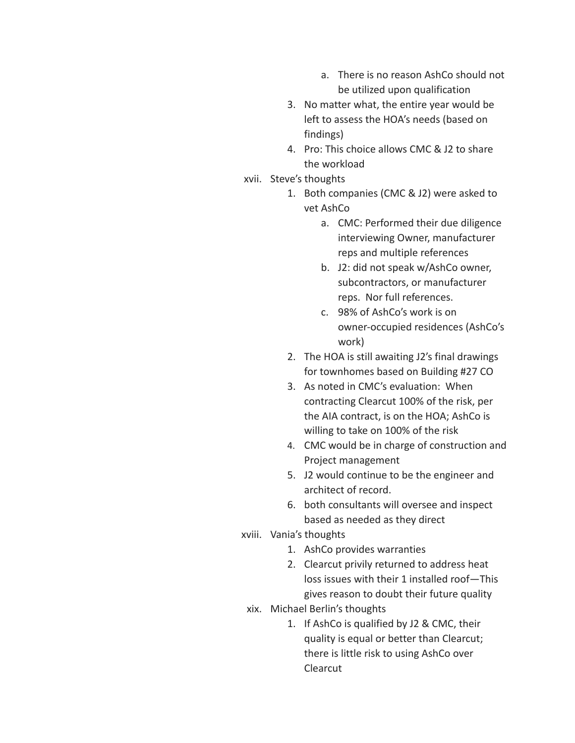- a. There is no reason AshCo should not be utilized upon qualification
- 3. No matter what, the entire year would be left to assess the HOA's needs (based on findings)
- 4. Pro: This choice allows CMC & J2 to share the workload
- xvii. Steve's thoughts
	- 1. Both companies (CMC & J2) were asked to vet AshCo
		- a. CMC: Performed their due diligence interviewing Owner, manufacturer reps and multiple references
		- b. J2: did not speak w/AshCo owner, subcontractors, or manufacturer reps. Nor full references.
		- c. 98% of AshCo's work is on owner-occupied residences (AshCo's work)
	- 2. The HOA is still awaiting J2's final drawings for townhomes based on Building #27 CO
	- 3. As noted in CMC's evaluation: When contracting Clearcut 100% of the risk, per the AIA contract, is on the HOA; AshCo is willing to take on 100% of the risk
	- 4. CMC would be in charge of construction and Project management
	- 5. J2 would continue to be the engineer and architect of record.
	- 6. both consultants will oversee and inspect based as needed as they direct
- xviii. Vania's thoughts
	- 1. AshCo provides warranties
	- 2. Clearcut privily returned to address heat loss issues with their 1 installed roof—This gives reason to doubt their future quality
- xix. Michael Berlin's thoughts
	- 1. If AshCo is qualified by J2 & CMC, their quality is equal or better than Clearcut; there is little risk to using AshCo over Clearcut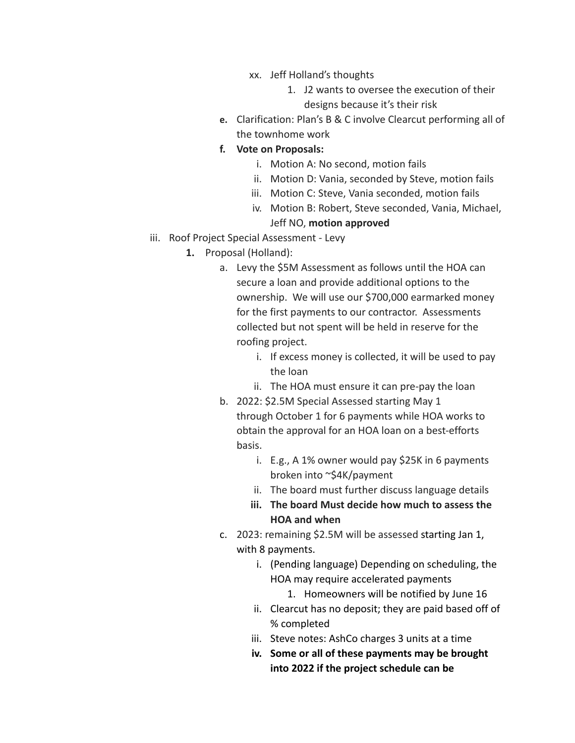- xx. Jeff Holland's thoughts
	- 1. J2 wants to oversee the execution of their designs because it's their risk
- **e.** Clarification: Plan's B & C involve Clearcut performing all of the townhome work
- **f. Vote on Proposals:**
	- i. Motion A: No second, motion fails
	- ii. Motion D: Vania, seconded by Steve, motion fails
	- iii. Motion C: Steve, Vania seconded, motion fails
	- iv. Motion B: Robert, Steve seconded, Vania, Michael, Jeff NO, **motion approved**
- iii. Roof Project Special Assessment Levy
	- **1.** Proposal (Holland):
		- a. Levy the \$5M Assessment as follows until the HOA can secure a loan and provide additional options to the ownership. We will use our \$700,000 earmarked money for the first payments to our contractor. Assessments collected but not spent will be held in reserve for the roofing project.
			- i. If excess money is collected, it will be used to pay the loan
			- ii. The HOA must ensure it can pre-pay the loan
		- b. 2022: \$2.5M Special Assessed starting May 1 through October 1 for 6 payments while HOA works to obtain the approval for an HOA loan on a best-efforts basis.
			- i. E.g., A 1% owner would pay \$25K in 6 payments broken into ~\$4K/payment
			- ii. The board must further discuss language details
			- **iii. The board Must decide how much to assess the HOA and when**
		- c. 2023: remaining \$2.5M will be assessed starting Jan 1, with 8 payments.
			- i. (Pending language) Depending on scheduling, the HOA may require accelerated payments
				- 1. Homeowners will be notified by June 16
			- ii. Clearcut has no deposit; they are paid based off of % completed
			- iii. Steve notes: AshCo charges 3 units at a time
			- **iv. Some or all of these payments may be brought into 2022 if the project schedule can be**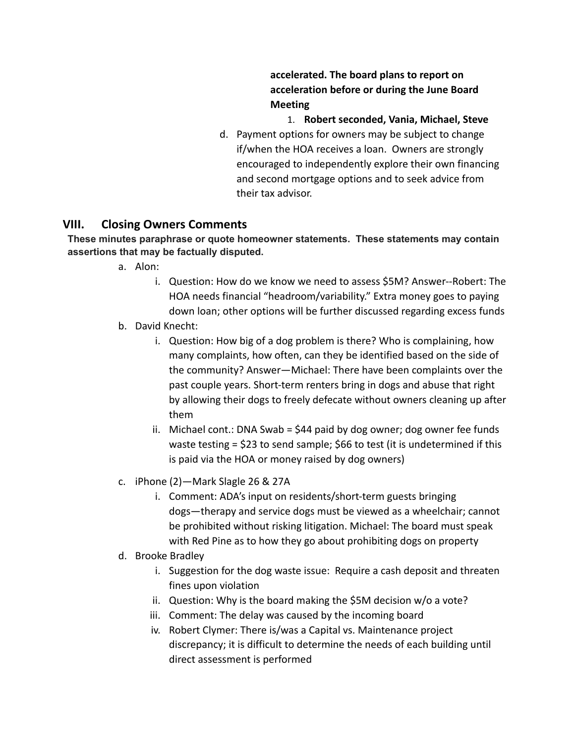**accelerated. The board plans to report on acceleration before or during the June Board Meeting**

- 1. **Robert seconded, Vania, Michael, Steve**
- d. Payment options for owners may be subject to change if/when the HOA receives a loan. Owners are strongly encouraged to independently explore their own financing and second mortgage options and to seek advice from their tax advisor.

## **VIII. Closing Owners Comments**

#### **These minutes paraphrase or quote homeowner statements. These statements may contain assertions that may be factually disputed.**

- a. Alon:
	- i. Question: How do we know we need to assess \$5M? Answer--Robert: The HOA needs financial "headroom/variability." Extra money goes to paying down loan; other options will be further discussed regarding excess funds
- b. David Knecht:
	- i. Question: How big of a dog problem is there? Who is complaining, how many complaints, how often, can they be identified based on the side of the community? Answer—Michael: There have been complaints over the past couple years. Short-term renters bring in dogs and abuse that right by allowing their dogs to freely defecate without owners cleaning up after them
	- ii. Michael cont.: DNA Swab = \$44 paid by dog owner; dog owner fee funds waste testing = \$23 to send sample; \$66 to test (it is undetermined if this is paid via the HOA or money raised by dog owners)
- c. iPhone (2)—Mark Slagle 26 & 27A
	- i. Comment: ADA's input on residents/short-term guests bringing dogs—therapy and service dogs must be viewed as a wheelchair; cannot be prohibited without risking litigation. Michael: The board must speak with Red Pine as to how they go about prohibiting dogs on property
- d. Brooke Bradley
	- i. Suggestion for the dog waste issue: Require a cash deposit and threaten fines upon violation
	- ii. Question: Why is the board making the \$5M decision w/o a vote?
	- iii. Comment: The delay was caused by the incoming board
	- iv. Robert Clymer: There is/was a Capital vs. Maintenance project discrepancy; it is difficult to determine the needs of each building until direct assessment is performed